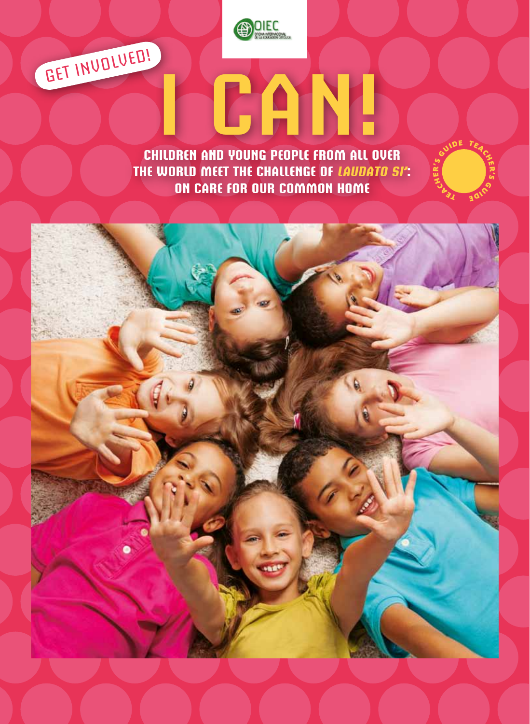

GET INVOLVED!

**Children and Young people from all over the world meet the challenge of** *laudato si***':**  $\frac{2}{3}$ **<br>On Care for Our Common Home** 

**I CAN!**

OE T

e rг. s

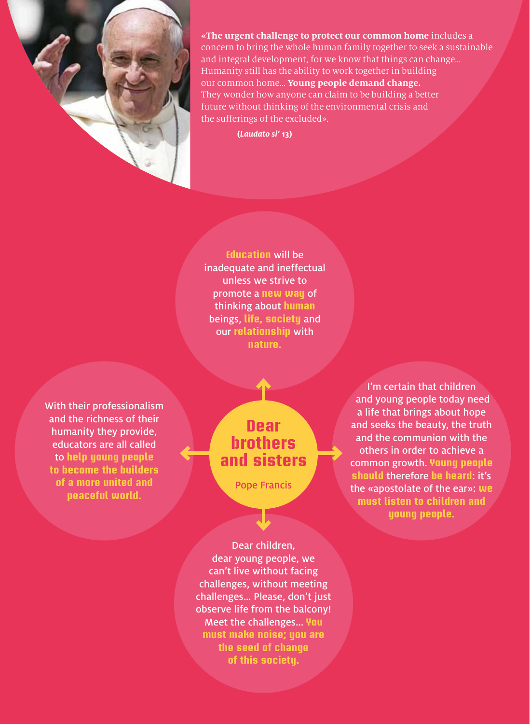

**«The urgent challenge to protect our common home** includes a concern to bring the whole human family together to seek a sustainable and integral development, for we know that things can change… Humanity still has the ability to work together in building our common home… **Young people demand change.** They wonder how anyone can claim to be building a better future without thinking of the environmental crisis and the sufferings of the excluded».

**(***Laudato si'* **13)**

**Education** will be inadequate and ineffectual unless we strive to promote a **new way** of thinking about **human** beings, **life, society** and our **relationship** with **nature.**

With their professionalism and the richness of their humanity they provide, educators are all called to **help young people to become the builders of a more united and peaceful world.**

#### **Dear brothers and sisters**

Pope Francis

I'm certain that children and young people today need a life that brings about hope and seeks the beauty, the truth and the communion with the others in order to achieve a common growth. **Young people should** therefore **be heard**: it's the «apostolate of the ear»: **we must listen to children and young people.**

Dear children, dear young people, we can't live without facing challenges, without meeting challenges… Please, don't just observe life from the balcony! Meet the challenges... **You must make noise; you are the seed of change of this society.**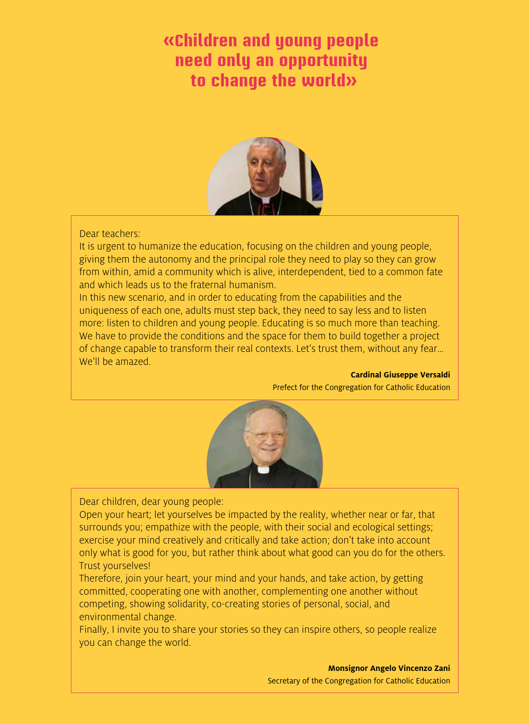#### **«Children and young people need only an opportunity to change the world»**



#### Dear teachers:

It is urgent to humanize the education, focusing on the children and young people, giving them the autonomy and the principal role they need to play so they can grow from within, amid a community which is alive, interdependent, tied to a common fate and which leads us to the fraternal humanism.

In this new scenario, and in order to educating from the capabilities and the uniqueness of each one, adults must step back, they need to say less and to listen more: listen to children and young people. Educating is so much more than teaching. We have to provide the conditions and the space for them to build together a project of change capable to transform their real contexts. Let's trust them, without any fear… We'll be amazed.

#### **Cardinal Giuseppe Versaldi**

Prefect for the Congregation for Catholic Education



Dear children, dear young people:

Open your heart; let yourselves be impacted by the reality, whether near or far, that surrounds you; empathize with the people, with their social and ecological settings; exercise your mind creatively and critically and take action; don't take into account only what is good for you, but rather think about what good can you do for the others. Trust yourselves!

Therefore, join your heart, your mind and your hands, and take action, by getting committed, cooperating one with another, complementing one another without competing, showing solidarity, co-creating stories of personal, social, and environmental change.

Finally, I invite you to share your stories so they can inspire others, so people realize you can change the world.

> **Monsignor Angelo Vincenzo Zani** Secretary of the Congregation for Catholic Education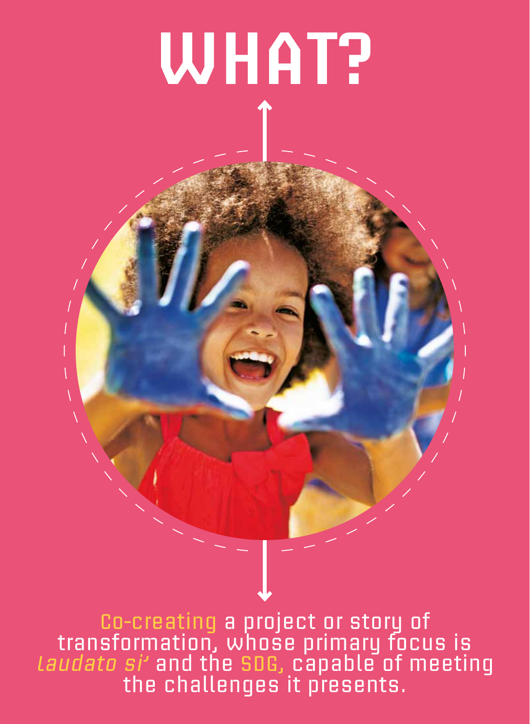# **WHAT?**

Co-creating a project or story of transformation, whose primary focus is L*audato si'* and the SDG, capable of meeting the challenges it presents.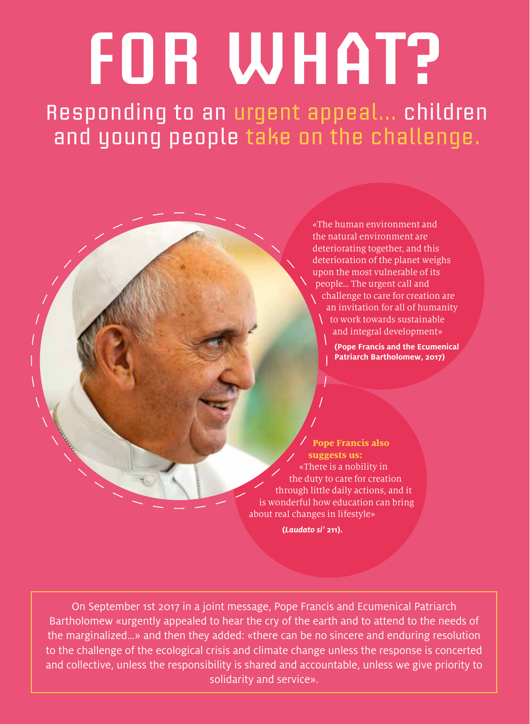**FOR WHAT?**

Responding to an urgent appeal… children and young people take on the challenge.

> «The human environment and the natural environment are deteriorating together, and this deterioration of the planet weighs upon the most vulnerable of its people… The urgent call and challenge to care for creation are an invitation for all of humanity  $\setminus$  to work towards sustainable and integral development»

> > **(Pope Francis and the Ecumenical Patriarch Bartholomew, 2017)**

**Pope Francis also suggests us:**  «There is a nobility in the duty to care for creation through little daily actions, and it is wonderful how education can bring about real changes in lifestyle»

 **(***Laudato si'* **211).**

On September 1st 2017 in a joint message, Pope Francis and Ecumenical Patriarch Bartholomew «urgently appealed to hear the cry of the earth and to attend to the needs of the marginalized…» and then they added: «there can be no sincere and enduring resolution to the challenge of the ecological crisis and climate change unless the response is concerted and collective, unless the responsibility is shared and accountable, unless we give priority to solidarity and service».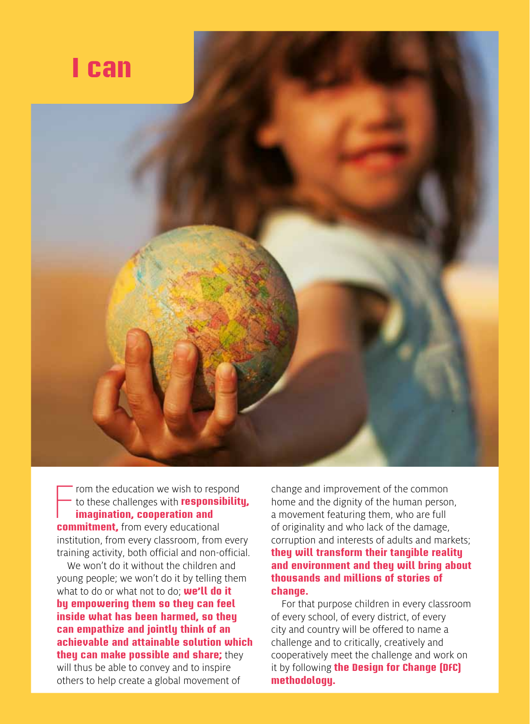

From the education we wish to resp<br>to these challenges with **responsition**<br>**imagination, cooperation and<br>commitment,** from every educational rom the education we wish to respond to these challenges with **responsibility, imagination, cooperation and**  institution, from every classroom, from every

training activity, both official and non-official.

We won't do it without the children and young people; we won't do it by telling them what to do or what not to do; **we'll do it by empowering them so they can feel inside what has been harmed, so they can empathize and jointly think of an achievable and attainable solution which they can make possible and share;** they will thus be able to convey and to inspire others to help create a global movement of

change and improvement of the common home and the dignity of the human person, a movement featuring them, who are full of originality and who lack of the damage, corruption and interests of adults and markets; **they will transform their tangible reality and environment and they will bring about thousands and millions of stories of change.**

For that purpose children in every classroom of every school, of every district, of every city and country will be offered to name a challenge and to critically, creatively and cooperatively meet the challenge and work on it by following **the Design for Change (DFC) methodology.**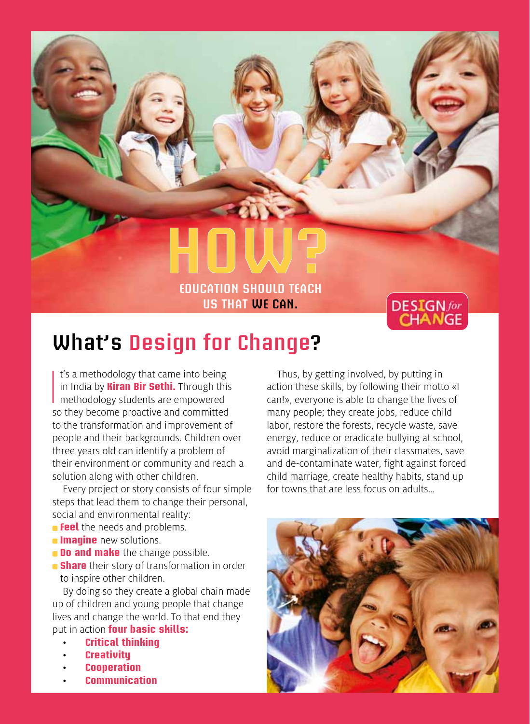# **Education should teach us that we can.**



## **What's Design for Change?**

I's a methodology that came into being<br>in India by **Kiran Bir Sethi.** Through this<br>methodology students are empowered<br>so they become proactive and committed t's a methodology that came into being in India by **Kiran Bir Sethi.** Through this **n** methodology students are empowered to the transformation and improvement of people and their backgrounds. Children over three years old can identify a problem of their environment or community and reach a solution along with other children.

Every project or story consists of four simple steps that lead them to change their personal, social and environmental reality:

- **Feel** the needs and problems.
- **Imagine** new solutions.
- **Do and make** the change possible.
- **Share** their story of transformation in order to inspire other children.

By doing so they create a global chain made up of children and young people that change lives and change the world. To that end they put in action **four basic skills:**

- **Critical thinking**
- **Creativity**
- • **Cooperation**
- • **Communication**

Thus, by getting involved, by putting in action these skills, by following their motto «I can!», everyone is able to change the lives of many people; they create jobs, reduce child labor, restore the forests, recycle waste, save energy, reduce or eradicate bullying at school, avoid marginalization of their classmates, save and de-contaminate water, fight against forced child marriage, create healthy habits, stand up for towns that are less focus on adults…

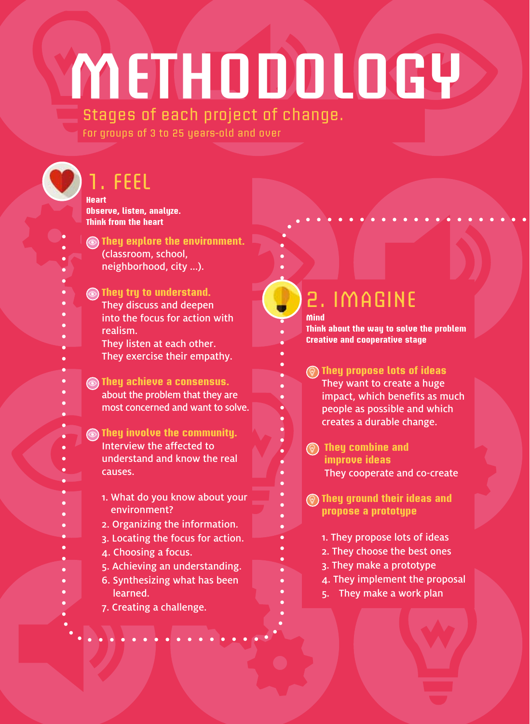# **METHODOLOGY**

#### Stages of each project of change. For groups of 3 to 25 years-old and over

# 1. FEEL

**Heart Observe, listen, analyze. Think from the heart**

**They explore the environment.** (classroom, school, neighborhood, city ...).

#### *C* They try to understand. They discuss and deepen into the focus for action with

realism. They listen at each other.

They exercise their empathy.

#### **They achieve a consensus.** about the problem that they are most concerned and want to solve.

**They involve the community.** Interview the affected to understand and know the real causes.

- 1. What do you know about your environment?
- 2. Organizing the information.
- 3. Locating the focus for action.
- 4. Choosing a focus.
- 5. Achieving an understanding.
- 6. Synthesizing what has been learned.
- 7. Creating a challenge.

#### 2. IMAGINE **Mind**

**Think about the way to solve the problem Creative and cooperative stage**

#### **They propose lots of ideas**  They want to create a huge impact, which benefits as much people as possible and which creates a durable change.

- **They combine and improve ideas**  They cooperate and co-create
- **They ground their ideas and propose a prototype**
	- 1. They propose lots of ideas
	- 2. They choose the best ones
	- 3. They make a prototype
	- 4. They implement the proposal
	- 5. They make a work plan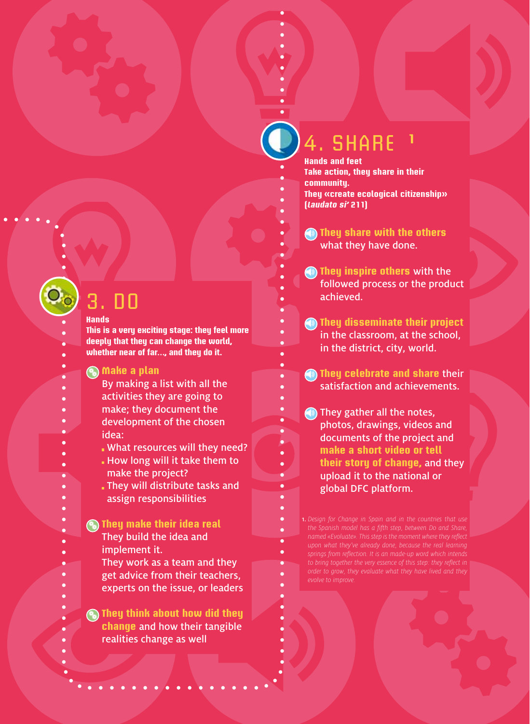## 4. SHARE **<sup>1</sup>**

**Hands and feet Take action, they share in their community. They «create ecological citizenship» (Laudato si' 211)**

**They share with the others** what they have done.

**They inspire others** with the followed process or the product achieved.

**(a) They disseminate their project** in the classroom, at the school, in the district, city, world.

**They celebrate and share** their satisfaction and achievements.

**They gather all the notes,** photos, drawings, videos and documents of the project and **make a short video or tell their story of change,** and they upload it to the national or global DFC platform.

1. *Design for Change in Spain and in the countries that use to bring together the very essence of this step: they reflect in evolve to improve.*

# 3. DO

#### **Hands**

- **This is a very exciting stage: they feel more**
- **deeply that they can change the world,**
- **whether near of far…, and they do it.**

#### **Make a plan**

- By making a list with all the
- activities they are going to
- make; they document the
- development of the chosen
- idea:
	- What resources will they need?
	- How long will it take them to make the project?
	- They will distribute tasks and assign responsibilities

#### **<sup><b>They make their idea real**</sup> They build the idea and

- implement it.
- They work as a team and they get advice from their teachers, experts on the issue, or leaders

**<b>C** They think about how did they **change** and how their tangible realities change as well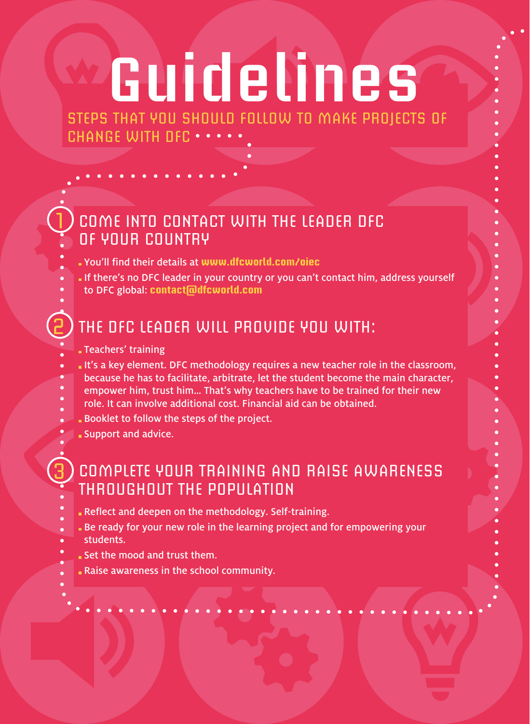# **Guidelines**

Steps that you should follow to make projects of CHANGE WITH DFC . . .

### COME INTO CONTACT WITH THE LEADER DFC OF YOUR COUNTRY

- You'll find their details at **www.dfcworld.com/oiec**
- If there's no DFC leader in your country or you can't contact him, address yourself
- to DFC global: **contact@dfcworld.com**

### THE DFC LEADER WILL PROVIDE YOU WITH:

Teachers' training

1

2

3

- It's a key element. DFC methodology requires a new teacher role in the classroom,
- because he has to facilitate, arbitrate, let the student become the main character,
- empower him, trust him… That's why teachers have to be trained for their new
- role. It can involve additional cost. Financial aid can be obtained.
- Booklet to follow the steps of the project.
- Support and advice.

### COMPLETE YOUR TRAINING AND RAISE AWARENESS THROUGHOUT THE POPULATION

- Reflect and deepen on the methodology. Self-training.
- Be ready for your new role in the learning project and for empowering your
- students.
- Set the mood and trust them.
- Raise awareness in the school community.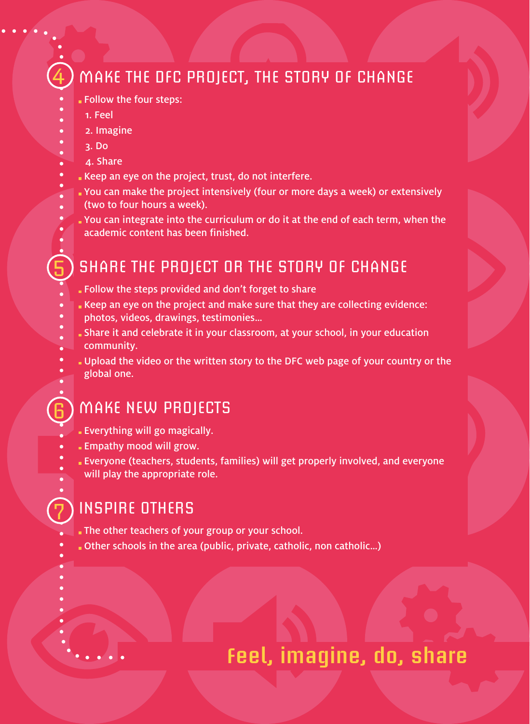### MAKE THE DFC PROJECT, THE STORY OF CHANGE

- Follow the four steps:
- 1. Feel
- 2. Imagine
- 3. Do
- 4. Share
- Keep an eye on the project, trust, do not interfere.
- You can make the project intensively (four or more days a week) or extensively
- (two to four hours a week).
- You can integrate into the curriculum or do it at the end of each term, when the academic content has been finished.

#### SHARE THE PROJECT OR THE STORY OF CHANGE

- Follow the steps provided and don't forget to share
- Keep an eye on the project and make sure that they are collecting evidence:
- photos, videos, drawings, testimonies…
- Share it and celebrate it in your classroom, at your school, in your education community.
- Upload the video or the written story to the DFC web page of your country or the global one.

#### MAKE NEW PROJECTS

- Everything will go magically.
- Empathy mood will grow.
- Everyone (teachers, students, families) will get properly involved, and everyone will play the appropriate role.

#### INSPIRE OTHERS

7

6

5

4

- The other teachers of your group or your school.
- Other schools in the area (public, private, catholic, non catholic…)

## **Feel, imagine, do, share**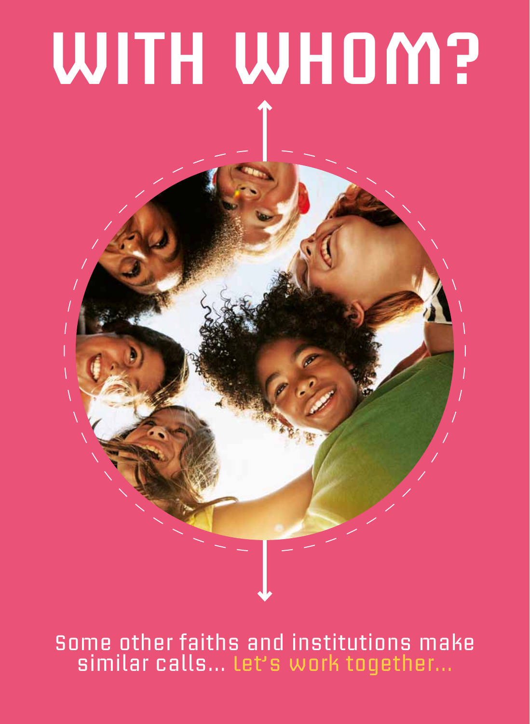# **WITH WHOM?**

## Some other faiths and institutions make similar calls… Let's work together...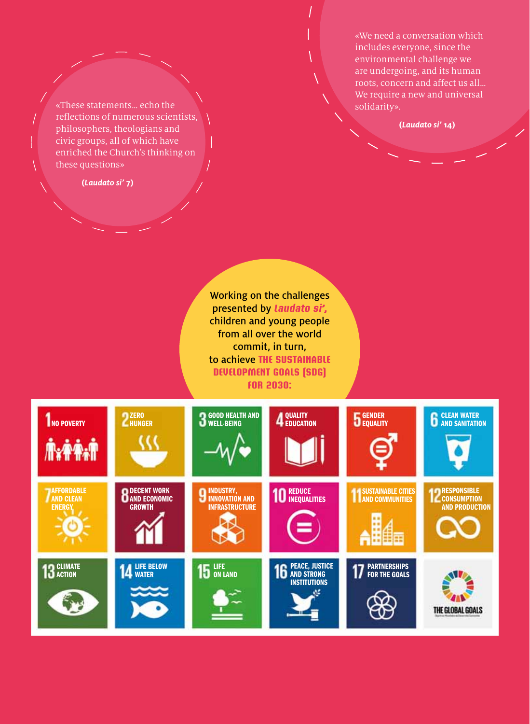«We need a conversation which includes everyone, since the environmental challenge we are undergoing, and its human roots, concern and affect us all… We require a new and universal solidarity».

**(***Laudato si'* **14)**

«These statements… echo the reflections of numerous scientists, philosophers, theologians and civic groups, all of which have enriched the Church's thinking on these questions»

**(***Laudato si'* **7)**

Working on the challenges presented by **Laudato si',** children and young people from all over the world commit, in turn, to achieve **the sustainable development goals (SDG) for 2030:**

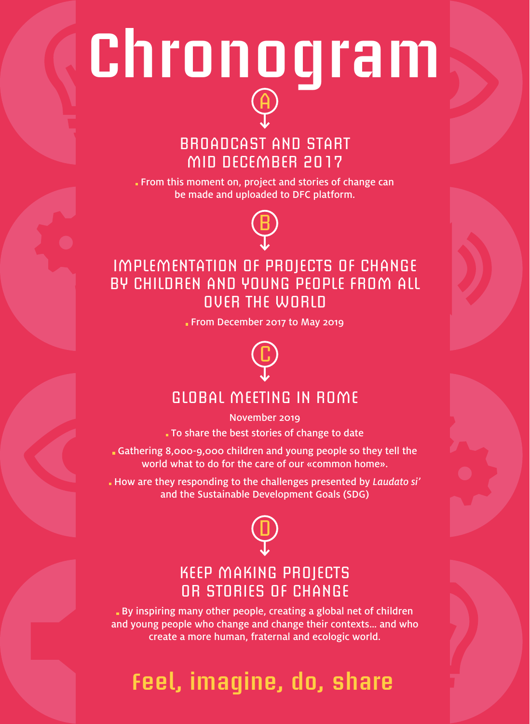# **Chronogram** A

#### BROADCAST AND START MID DECEMBER 2017

From this moment on, project and stories of change can be made and uploaded to DFC platform.



#### IMPLEMENTATION OF PROJECTS OF CHANGE BY CHILDREN AND YOUNG PEOPLE FROM ALL OVER THE WORLD

From December 2017 to May 2019



### GLOBAL MEETING IN ROME

November 2019 To share the best stories of change to date

Gathering 8,000-9,000 children and young people so they tell the world what to do for the care of our «common home».

 How are they responding to the challenges presented by *Laudato si'*  and the Sustainable Development Goals (SDG)



#### KEEP MAKING PROJECTS OR STORIES OF CHANGE

 By inspiring many other people, creating a global net of children and young people who change and change their contexts… and who create a more human, fraternal and ecologic world.

# **Feel, imagine, do, share**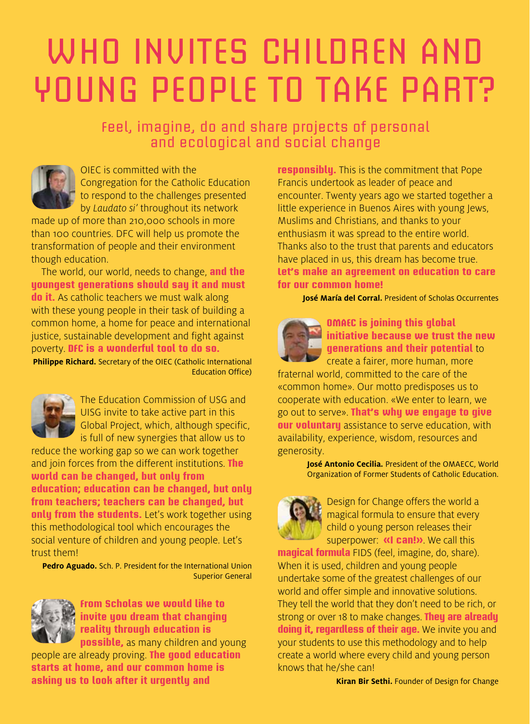# WHO INVITES CHILDREN AND YOUNG PEOPLE TO TAKE PART?

Feel, imagine, do and share projects of personal and ecological and social change



OIEC is committed with the Congregation for the Catholic Education to respond to the challenges presented by *Laudato si'* throughout its network

made up of more than 210,000 schools in more than 100 countries. DFC will help us promote the transformation of people and their environment though education.

The world, our world, needs to change, **and the youngest generations should say it and must do it.** As catholic teachers we must walk along with these young people in their task of building a common home, a home for peace and international justice, sustainable development and fight against poverty. **DFC is a wonderful tool to do so.**

**Philippe Richard.** Secretary of the OIEC (Catholic International Education Office)



The Education Commission of USG and UISG invite to take active part in this Global Project, which, although specific, is full of new synergies that allow us to

reduce the working gap so we can work together and join forces from the different institutions. **The world can be changed, but only from education; education can be changed, but only from teachers; teachers can be changed, but only from the students.** Let's work together using this methodological tool which encourages the social venture of children and young people. Let's trust them!

**Pedro Aguado.** Sch. P. President for the International Union Superior General



**From Scholas we would like to invite you dream that changing reality through education is possible,** as many children and young

people are already proving. **The good education starts at home, and our common home is asking us to look after it urgently and** 

**responsibly.** This is the commitment that Pope Francis undertook as leader of peace and encounter. Twenty years ago we started together a little experience in Buenos Aires with young Jews, Muslims and Christians, and thanks to your enthusiasm it was spread to the entire world. Thanks also to the trust that parents and educators have placed in us, this dream has become true. **Let's make an agreement on education to care for our common home!**

**José María del Corral.** President of Scholas Occurrentes



**OMAEC is joining this global initiative because we trust the new generations and their potential** to

create a fairer, more human, more fraternal world, committed to the care of the «common home». Our motto predisposes us to cooperate with education. «We enter to learn, we go out to serve». **That's why we engage to give our voluntary** assistance to serve education, with availability, experience, wisdom, resources and generosity.

> **José Antonio Cecilia.** President of the OMAECC, World Organization of Former Students of Catholic Education.



Design for Change offers the world a magical formula to ensure that every child o young person releases their superpower: **«I can!»**. We call this

**magical formula** FIDS (feel, imagine, do, share). When it is used, children and young people undertake some of the greatest challenges of our world and offer simple and innovative solutions. They tell the world that they don't need to be rich, or strong or over 18 to make changes. **They are already doing it, regardless of their age.** We invite you and your students to use this methodology and to help create a world where every child and young person knows that he/she can!